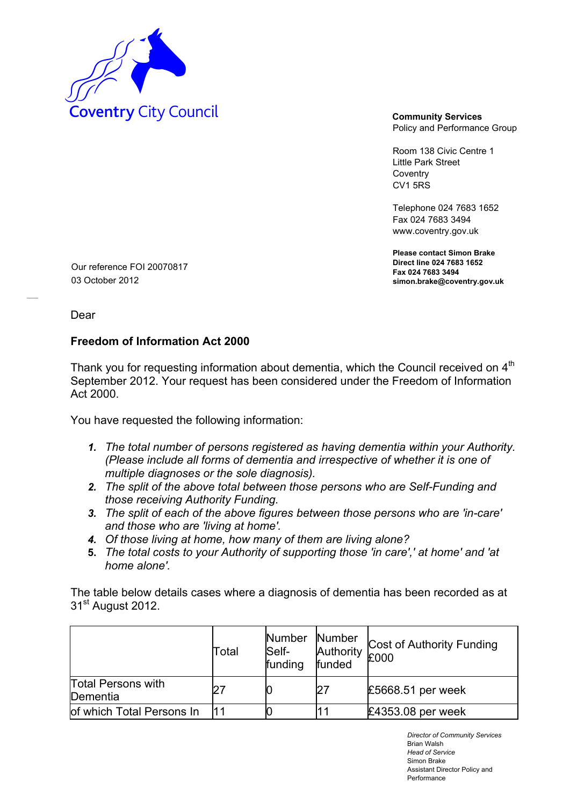

Policy and Performance Group

Room 138 Civic Centre 1 Little Park Street Coventry CV1 5RS

Telephone 024 7683 1652 Fax 024 7683 3494 www.coventry.gov.uk

**Please contact Simon Brake Direct line 024 7683 1652 Fax 024 7683 3494 simon.brake@coventry.gov.uk** 

Our reference FOI 20070817 03 October 2012

Dear

## **Freedom of Information Act 2000**

Thank you for requesting information about dementia, which the Council received on 4<sup>th</sup> September 2012. Your request has been considered under the Freedom of Information Act 2000.

You have requested the following information:

- *1. The total number of persons registered as having dementia within your Authority. (Please include all forms of dementia and irrespective of whether it is one of multiple diagnoses or the sole diagnosis).*
- *2. The split of the above total between those persons who are Self-Funding and those receiving Authority Funding.*
- *3. The split of each of the above figures between those persons who are 'in-care' and those who are 'living at home'.*
- *4. Of those living at home, how many of them are living alone?*
- **5.** *The total costs to your Authority of supporting those 'in care',' at home' and 'at home alone'.*

The table below details cases where a diagnosis of dementia has been recorded as at 31<sup>st</sup> August 2012.

|                                       | Total | Number Number<br>Self-<br>funding | Authority<br>funded | Cost of Authority Funding<br>£000 |
|---------------------------------------|-------|-----------------------------------|---------------------|-----------------------------------|
| <b>Total Persons with</b><br>Dementia |       |                                   | 27                  | £5668.51 per week                 |
| of which Total Persons In             |       |                                   |                     | £4353.08 per week                 |

*Director of Community Services*  Brian Walsh *Head of Service*  Simon Brake Assistant Director Policy and Performance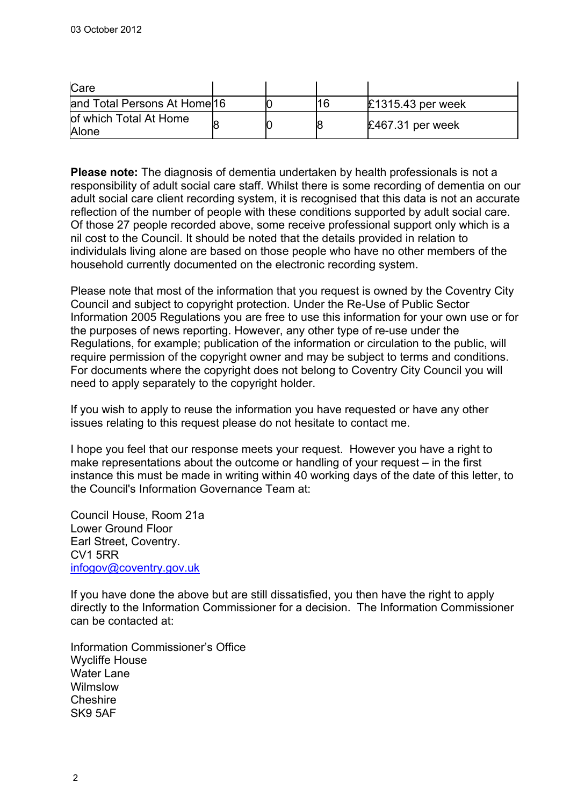| Care                            |  |    |                     |
|---------------------------------|--|----|---------------------|
| and Total Persons At Home 16    |  | 16 | $£1315.43$ per week |
| of which Total At Home<br>Alone |  |    | $£467.31$ per week  |

**Please note:** The diagnosis of dementia undertaken by health professionals is not a responsibility of adult social care staff. Whilst there is some recording of dementia on our adult social care client recording system, it is recognised that this data is not an accurate reflection of the number of people with these conditions supported by adult social care. Of those 27 people recorded above, some receive professional support only which is a nil cost to the Council. It should be noted that the details provided in relation to individulals living alone are based on those people who have no other members of the household currently documented on the electronic recording system.

Please note that most of the information that you request is owned by the Coventry City Council and subject to copyright protection. Under the Re-Use of Public Sector Information 2005 Regulations you are free to use this information for your own use or for the purposes of news reporting. However, any other type of re-use under the Regulations, for example; publication of the information or circulation to the public, will require permission of the copyright owner and may be subject to terms and conditions. For documents where the copyright does not belong to Coventry City Council you will need to apply separately to the copyright holder.

If you wish to apply to reuse the information you have requested or have any other issues relating to this request please do not hesitate to contact me.

I hope you feel that our response meets your request. However you have a right to make representations about the outcome or handling of your request – in the first instance this must be made in writing within 40 working days of the date of this letter, to the Council's Information Governance Team at:

Council House, Room 21a Lower Ground Floor Earl Street, Coventry. CV1 5RR [infogov@coventry.gov.uk](mailto:infogov@coventry.gov.uk)

If you have done the above but are still dissatisfied, you then have the right to apply directly to the Information Commissioner for a decision. The Information Commissioner can be contacted at:

Information Commissioner's Office Wycliffe House Water Lane Wilmslow **Cheshire** SK9 5AF